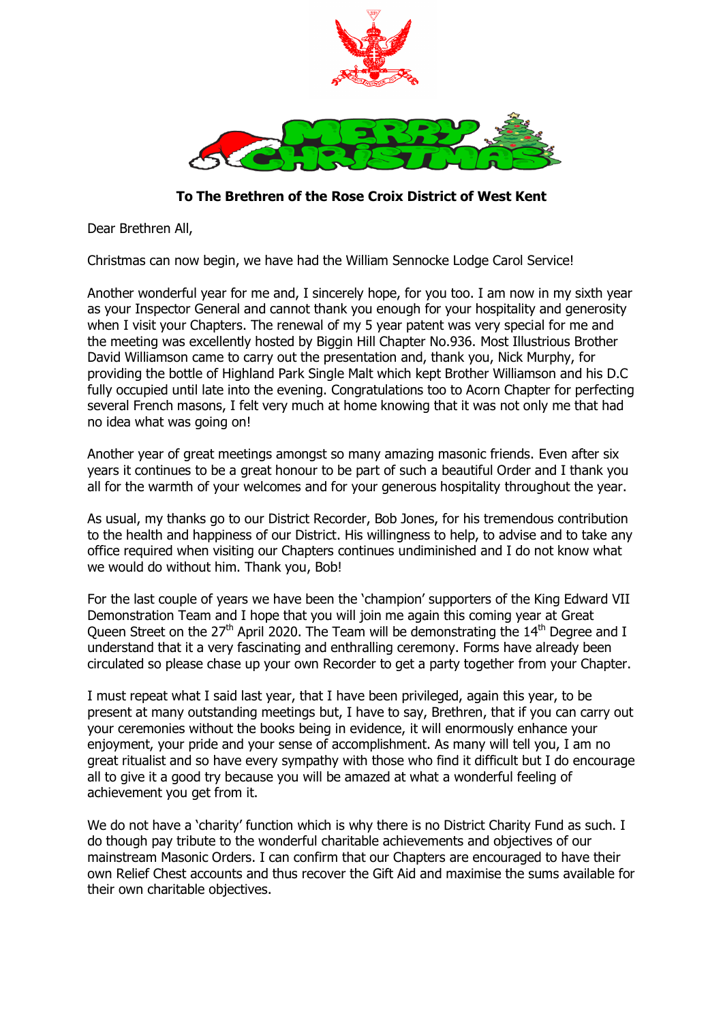

**To The Brethren of the Rose Croix District of West Kent**

Dear Brethren All,

Christmas can now begin, we have had the William Sennocke Lodge Carol Service!

Another wonderful year for me and, I sincerely hope, for you too. I am now in my sixth year as your Inspector General and cannot thank you enough for your hospitality and generosity when I visit your Chapters. The renewal of my 5 year patent was very special for me and the meeting was excellently hosted by Biggin Hill Chapter No.936. Most Illustrious Brother David Williamson came to carry out the presentation and, thank you, Nick Murphy, for providing the bottle of Highland Park Single Malt which kept Brother Williamson and his D.C fully occupied until late into the evening. Congratulations too to Acorn Chapter for perfecting several French masons, I felt very much at home knowing that it was not only me that had no idea what was going on!

Another year of great meetings amongst so many amazing masonic friends. Even after six years it continues to be a great honour to be part of such a beautiful Order and I thank you all for the warmth of your welcomes and for your generous hospitality throughout the year.

As usual, my thanks go to our District Recorder, Bob Jones, for his tremendous contribution to the health and happiness of our District. His willingness to help, to advise and to take any office required when visiting our Chapters continues undiminished and I do not know what we would do without him. Thank you, Bob!

For the last couple of years we have been the 'champion' supporters of the King Edward VII Demonstration Team and I hope that you will join me again this coming year at Great Queen Street on the 27<sup>th</sup> April 2020. The Team will be demonstrating the  $14<sup>th</sup>$  Degree and I understand that it a very fascinating and enthralling ceremony. Forms have already been circulated so please chase up your own Recorder to get a party together from your Chapter.

I must repeat what I said last year, that I have been privileged, again this year, to be present at many outstanding meetings but, I have to say, Brethren, that if you can carry out your ceremonies without the books being in evidence, it will enormously enhance your enjoyment, your pride and your sense of accomplishment. As many will tell you, I am no great ritualist and so have every sympathy with those who find it difficult but I do encourage all to give it a good try because you will be amazed at what a wonderful feeling of achievement you get from it.

We do not have a 'charity' function which is why there is no District Charity Fund as such. I do though pay tribute to the wonderful charitable achievements and objectives of our mainstream Masonic Orders. I can confirm that our Chapters are encouraged to have their own Relief Chest accounts and thus recover the Gift Aid and maximise the sums available for their own charitable objectives.